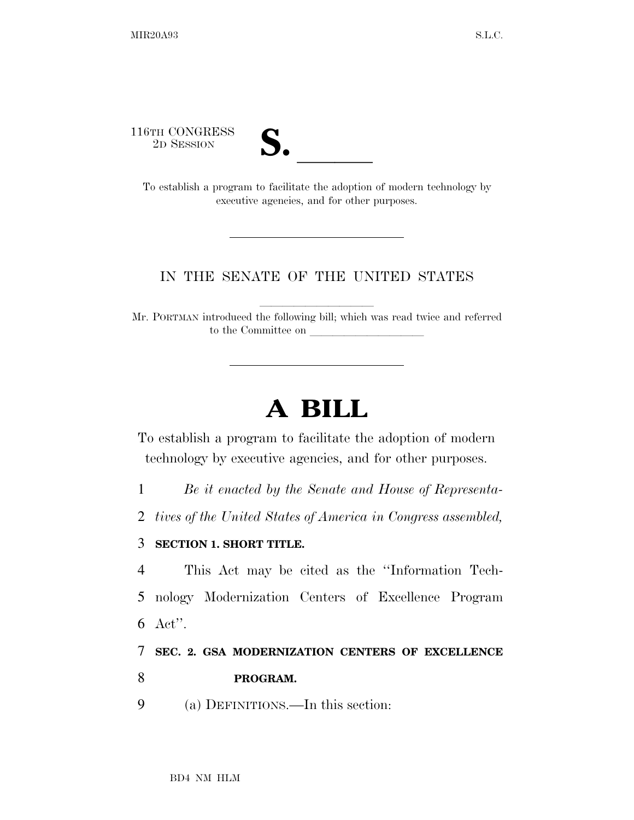116TH CONGRESS



To establish a program to facilitate the adoption of modern technology by executive agencies, and for other purposes.

## IN THE SENATE OF THE UNITED STATES

Mr. PORTMAN introduced the following bill; which was read twice and referred to the Committee on

## **A BILL**

To establish a program to facilitate the adoption of modern technology by executive agencies, and for other purposes.

1 *Be it enacted by the Senate and House of Representa-*

2 *tives of the United States of America in Congress assembled,* 

## 3 **SECTION 1. SHORT TITLE.**

4 This Act may be cited as the ''Information Tech-5 nology Modernization Centers of Excellence Program 6 Act''.

7 **SEC. 2. GSA MODERNIZATION CENTERS OF EXCELLENCE**  8 **PROGRAM.** 

9 (a) DEFINITIONS.—In this section: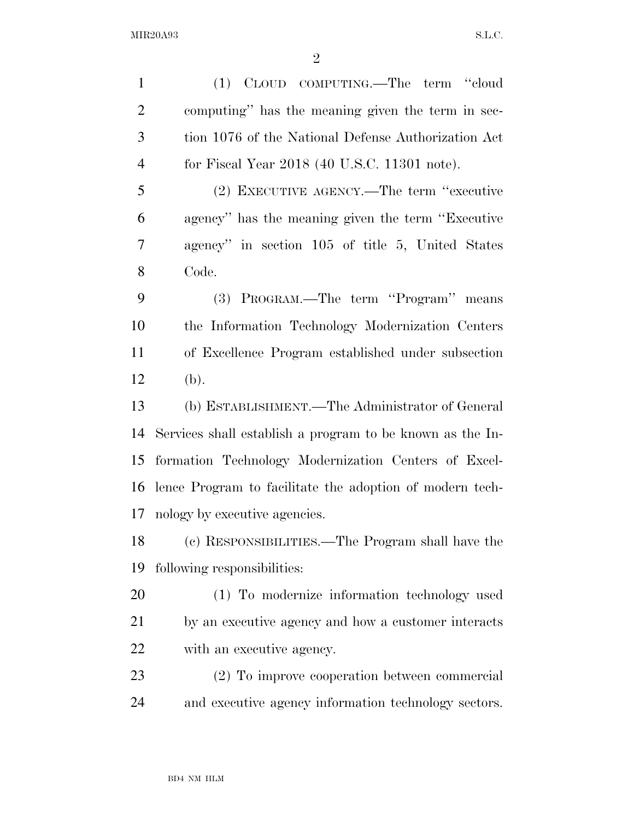MIR20A93 S.L.C.

 (1) CLOUD COMPUTING.—The term ''cloud computing'' has the meaning given the term in sec- tion 1076 of the National Defense Authorization Act for Fiscal Year 2018 (40 U.S.C. 11301 note). (2) EXECUTIVE AGENCY.—The term ''executive agency'' has the meaning given the term ''Executive agency'' in section 105 of title 5, United States Code. (3) PROGRAM.—The term ''Program'' means the Information Technology Modernization Centers of Excellence Program established under subsection (b). (b) ESTABLISHMENT.—The Administrator of General Services shall establish a program to be known as the In- formation Technology Modernization Centers of Excel- lence Program to facilitate the adoption of modern tech- nology by executive agencies. (c) RESPONSIBILITIES.—The Program shall have the following responsibilities: (1) To modernize information technology used by an executive agency and how a customer interacts with an executive agency. (2) To improve cooperation between commercial and executive agency information technology sectors.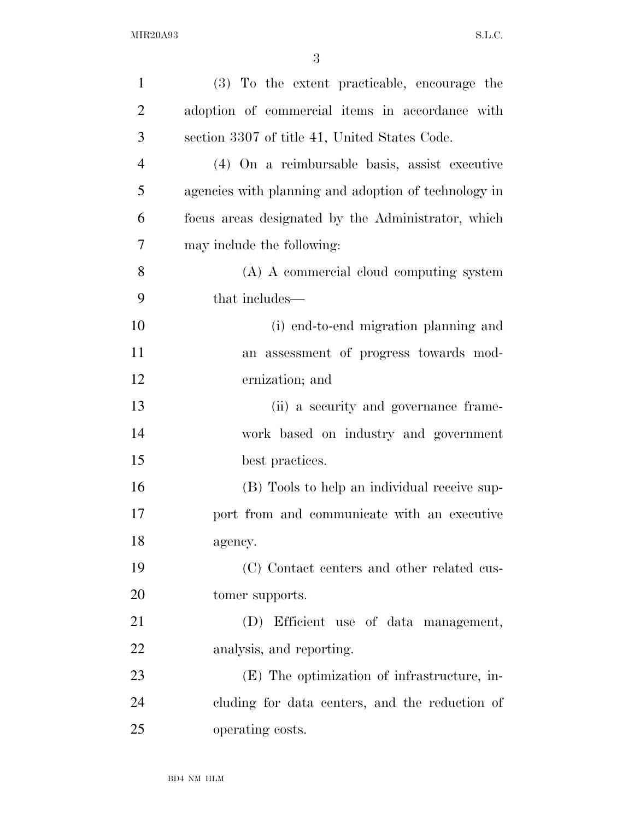| $\mathbf{1}$   | (3) To the extent practicable, encourage the         |
|----------------|------------------------------------------------------|
| $\overline{2}$ | adoption of commercial items in accordance with      |
| 3              | section 3307 of title 41, United States Code.        |
| $\overline{4}$ | (4) On a reimbursable basis, assist executive        |
| 5              | agencies with planning and adoption of technology in |
| 6              | focus areas designated by the Administrator, which   |
| 7              | may include the following:                           |
| 8              | (A) A commercial cloud computing system              |
| 9              | that includes—                                       |
| 10             | (i) end-to-end migration planning and                |
| 11             | an assessment of progress towards mod-               |
| 12             | ernization; and                                      |
| 13             | (ii) a security and governance frame-                |
| 14             | work based on industry and government                |
| 15             | best practices.                                      |
| 16             | (B) Tools to help an individual receive sup-         |
| 17             | port from and communicate with an executive          |
| 18             | agency.                                              |
| 19             | (C) Contact centers and other related cus-           |
| <b>20</b>      | tomer supports.                                      |
| 21             | (D) Efficient use of data management,                |
| 22             | analysis, and reporting.                             |
| 23             | (E) The optimization of infrastructure, in-          |
| 24             | cluding for data centers, and the reduction of       |
| 25             | operating costs.                                     |